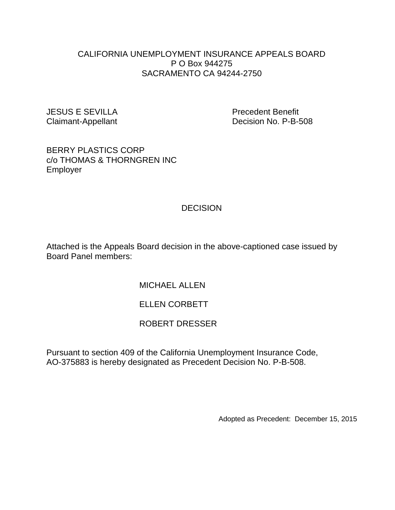### CALIFORNIA UNEMPLOYMENT INSURANCE APPEALS BOARD P O Box 944275 SACRAMENTO CA 94244-2750

JESUS E SEVILLA Precedent Benefit

Claimant-Appellant Decision No. P-B-508

BERRY PLASTICS CORP c/o THOMAS & THORNGREN INC Employer

#### **DECISION**

Attached is the Appeals Board decision in the above-captioned case issued by Board Panel members:

MICHAEL ALLEN

## ELLEN CORBETT

#### ROBERT DRESSER

Pursuant to section 409 of the California Unemployment Insurance Code, AO-375883 is hereby designated as Precedent Decision No. P-B-508.

Adopted as Precedent: December 15, 2015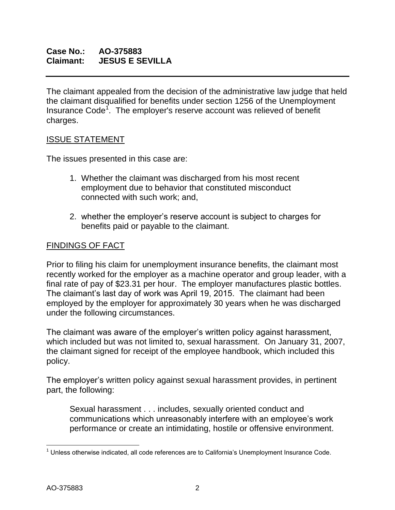# **Case No.: AO-375883 Claimant: JESUS E SEVILLA**

The claimant appealed from the decision of the administrative law judge that held the claimant disqualified for benefits under section 1256 of the Unemployment Insurance Code<sup>1</sup>. The employer's reserve account was relieved of benefit charges.

#### ISSUE STATEMENT

The issues presented in this case are:

- 1. Whether the claimant was discharged from his most recent employment due to behavior that constituted misconduct connected with such work; and,
- 2. whether the employer's reserve account is subject to charges for benefits paid or payable to the claimant.

### FINDINGS OF FACT

Prior to filing his claim for unemployment insurance benefits, the claimant most recently worked for the employer as a machine operator and group leader, with a final rate of pay of \$23.31 per hour. The employer manufactures plastic bottles. The claimant's last day of work was April 19, 2015. The claimant had been employed by the employer for approximately 30 years when he was discharged under the following circumstances.

The claimant was aware of the employer's written policy against harassment, which included but was not limited to, sexual harassment. On January 31, 2007, the claimant signed for receipt of the employee handbook, which included this policy.

The employer's written policy against sexual harassment provides, in pertinent part, the following:

Sexual harassment . . . includes, sexually oriented conduct and communications which unreasonably interfere with an employee's work performance or create an intimidating, hostile or offensive environment.

 $\overline{a}$  $1$  Unless otherwise indicated, all code references are to California's Unemployment Insurance Code.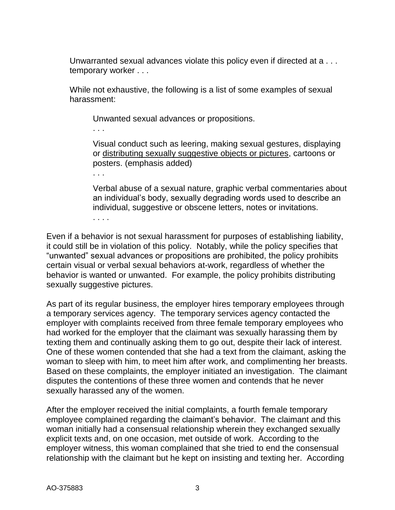Unwarranted sexual advances violate this policy even if directed at a . . . temporary worker . . .

While not exhaustive, the following is a list of some examples of sexual harassment:

Unwanted sexual advances or propositions.

Visual conduct such as leering, making sexual gestures, displaying or distributing sexually suggestive objects or pictures, cartoons or posters. (emphasis added)

. . .

. . .

Verbal abuse of a sexual nature, graphic verbal commentaries about an individual's body, sexually degrading words used to describe an individual, suggestive or obscene letters, notes or invitations.

. . . .

Even if a behavior is not sexual harassment for purposes of establishing liability, it could still be in violation of this policy. Notably, while the policy specifies that "unwanted" sexual advances or propositions are prohibited, the policy prohibits certain visual or verbal sexual behaviors at-work, regardless of whether the behavior is wanted or unwanted. For example, the policy prohibits distributing sexually suggestive pictures.

As part of its regular business, the employer hires temporary employees through a temporary services agency. The temporary services agency contacted the employer with complaints received from three female temporary employees who had worked for the employer that the claimant was sexually harassing them by texting them and continually asking them to go out, despite their lack of interest. One of these women contended that she had a text from the claimant, asking the woman to sleep with him, to meet him after work, and complimenting her breasts. Based on these complaints, the employer initiated an investigation. The claimant disputes the contentions of these three women and contends that he never sexually harassed any of the women.

After the employer received the initial complaints, a fourth female temporary employee complained regarding the claimant's behavior. The claimant and this woman initially had a consensual relationship wherein they exchanged sexually explicit texts and, on one occasion, met outside of work. According to the employer witness, this woman complained that she tried to end the consensual relationship with the claimant but he kept on insisting and texting her. According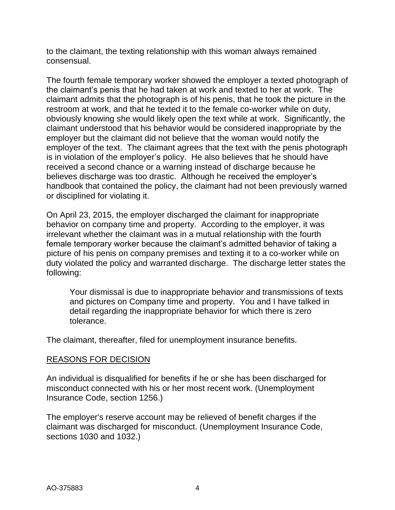to the claimant, the texting relationship with this woman always remained consensual.

The fourth female temporary worker showed the employer a texted photograph of the claimant's penis that he had taken at work and texted to her at work. The claimant admits that the photograph is of his penis, that he took the picture in the restroom at work, and that he texted it to the female co-worker while on duty, obviously knowing she would likely open the text while at work. Significantly, the claimant understood that his behavior would be considered inappropriate by the employer but the claimant did not believe that the woman would notify the employer of the text. The claimant agrees that the text with the penis photograph is in violation of the employer's policy. He also believes that he should have received a second chance or a warning instead of discharge because he believes discharge was too drastic. Although he received the employer's handbook that contained the policy, the claimant had not been previously warned or disciplined for violating it.

On April 23, 2015, the employer discharged the claimant for inappropriate behavior on company time and property. According to the employer, it was irrelevant whether the claimant was in a mutual relationship with the fourth female temporary worker because the claimant's admitted behavior of taking a picture of his penis on company premises and texting it to a co-worker while on duty violated the policy and warranted discharge. The discharge letter states the following:

Your dismissal is due to inappropriate behavior and transmissions of texts and pictures on Company time and property. You and I have talked in detail regarding the inappropriate behavior for which there is zero tolerance.

The claimant, thereafter, filed for unemployment insurance benefits.

#### REASONS FOR DECISION

An individual is disqualified for benefits if he or she has been discharged for misconduct connected with his or her most recent work. (Unemployment Insurance Code, section 1256.)

The employer's reserve account may be relieved of benefit charges if the claimant was discharged for misconduct. (Unemployment Insurance Code, sections 1030 and 1032.)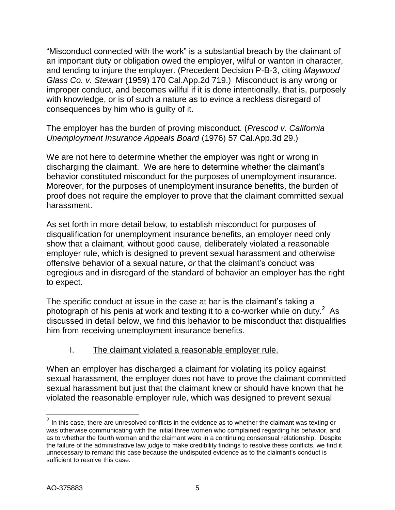"Misconduct connected with the work" is a substantial breach by the claimant of an important duty or obligation owed the employer, wilful or wanton in character, and tending to injure the employer. (Precedent Decision P-B-3, citing *Maywood Glass Co. v. Stewart* (1959) 170 Cal.App.2d 719.) Misconduct is any wrong or improper conduct, and becomes willful if it is done intentionally, that is, purposely with knowledge, or is of such a nature as to evince a reckless disregard of consequences by him who is guilty of it.

The employer has the burden of proving misconduct. (*Prescod v. California Unemployment Insurance Appeals Board* (1976) 57 Cal.App.3d 29.)

We are not here to determine whether the employer was right or wrong in discharging the claimant. We are here to determine whether the claimant's behavior constituted misconduct for the purposes of unemployment insurance. Moreover, for the purposes of unemployment insurance benefits, the burden of proof does not require the employer to prove that the claimant committed sexual harassment.

As set forth in more detail below, to establish misconduct for purposes of disqualification for unemployment insurance benefits, an employer need only show that a claimant, without good cause, deliberately violated a reasonable employer rule, which is designed to prevent sexual harassment and otherwise offensive behavior of a sexual nature, *or* that the claimant's conduct was egregious and in disregard of the standard of behavior an employer has the right to expect.

The specific conduct at issue in the case at bar is the claimant's taking a photograph of his penis at work and texting it to a co-worker while on duty. $2$  As discussed in detail below, we find this behavior to be misconduct that disqualifies him from receiving unemployment insurance benefits.

## I. The claimant violated a reasonable employer rule.

When an employer has discharged a claimant for violating its policy against sexual harassment, the employer does not have to prove the claimant committed sexual harassment but just that the claimant knew or should have known that he violated the reasonable employer rule, which was designed to prevent sexual

<sup>&</sup>lt;u>2</u><br><sup>2</sup> In this case, there are unresolved conflicts in the evidence as to whether the claimant was texting or was otherwise communicating with the initial three women who complained regarding his behavior, and as to whether the fourth woman and the claimant were in a continuing consensual relationship. Despite the failure of the administrative law judge to make credibility findings to resolve these conflicts, we find it unnecessary to remand this case because the undisputed evidence as to the claimant's conduct is sufficient to resolve this case.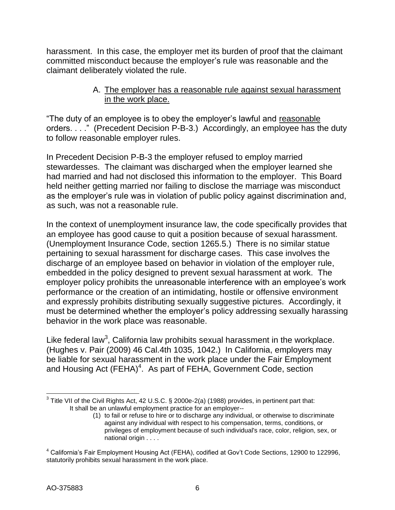harassment. In this case, the employer met its burden of proof that the claimant committed misconduct because the employer's rule was reasonable and the claimant deliberately violated the rule.

## A. The employer has a reasonable rule against sexual harassment in the work place.

"The duty of an employee is to obey the employer's lawful and reasonable orders. . . ." (Precedent Decision P-B-3.) Accordingly, an employee has the duty to follow reasonable employer rules.

In Precedent Decision P-B-3 the employer refused to employ married stewardesses. The claimant was discharged when the employer learned she had married and had not disclosed this information to the employer. This Board held neither getting married nor failing to disclose the marriage was misconduct as the employer's rule was in violation of public policy against discrimination and, as such, was not a reasonable rule.

In the context of unemployment insurance law, the code specifically provides that an employee has good cause to quit a position because of sexual harassment. (Unemployment Insurance Code, section 1265.5.) There is no similar statue pertaining to sexual harassment for discharge cases. This case involves the discharge of an employee based on behavior in violation of the employer rule, embedded in the policy designed to prevent sexual harassment at work. The employer policy prohibits the unreasonable interference with an employee's work performance or the creation of an intimidating, hostile or offensive environment and expressly prohibits distributing sexually suggestive pictures. Accordingly, it must be determined whether the employer's policy addressing sexually harassing behavior in the work place was reasonable.

Like federal law<sup>3</sup>, California law prohibits sexual harassment in the workplace. (Hughes v. Pair (2009) 46 Cal.4th 1035, 1042.) In California, employers may be liable for sexual harassment in the work place under the Fair Employment and Housing Act (FEHA)<sup>4</sup>. As part of FEHA, Government Code, section

 $\overline{a}$ 

 $3$  Title VII of the Civil Rights Act, 42 U.S.C. § 2000e-2(a) (1988) provides, in pertinent part that: It shall be an unlawful employment practice for an employer--

<sup>(1)</sup> to fail or refuse to hire or to discharge any individual, or otherwise to discriminate against any individual with respect to his compensation, terms, conditions, or privileges of employment because of such individual's race, color, religion, sex, or national origin . . . .

<sup>&</sup>lt;sup>4</sup> California's Fair Employment Housing Act (FEHA), codified at Gov't Code Sections, 12900 to 122996, statutorily prohibits sexual harassment in the work place.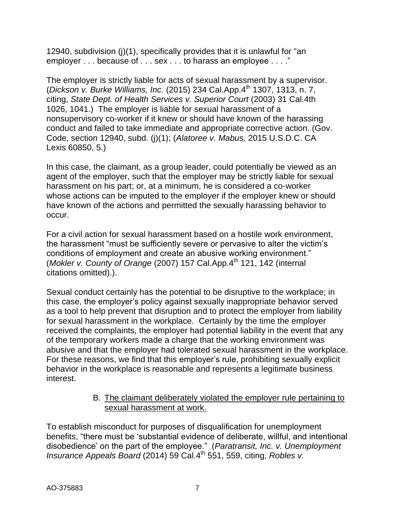12940, subdivision (j)(1), specifically provides that it is unlawful for "an employer . . . because of . . . sex . . . to harass an employee . . . ."

The employer is strictly liable for acts of sexual harassment by a supervisor. (*Dickson v. Burke Williams, Inc.* (2015) 234 Cal.App.4<sup>th</sup> 1307, 1313, n. 7, citing, *State Dept. of Health Services v. Superior Court* (2003) 31 Cal.4th 1026, 1041.) The employer is liable for sexual harassment of a nonsupervisory co-worker if it knew or should have known of the harassing conduct and failed to take immediate and appropriate corrective action. (Gov. Code, section 12940, subd. (j)(1); (*Alatoree v. Mabus,* 2015 U.S.D.C. CA Lexis 60850, 5.)

In this case, the claimant, as a group leader, could potentially be viewed as an agent of the employer, such that the employer may be strictly liable for sexual harassment on his part; or, at a minimum, he is considered a co-worker whose actions can be imputed to the employer if the employer knew or should have known of the actions and permitted the sexually harassing behavior to occur.

For a civil action for sexual harassment based on a hostile work environment, the harassment "must be sufficiently severe or pervasive to alter the victim's conditions of employment and create an abusive working environment." (*Mokler v. County of Orange* (2007) 157 Cal.App.4<sup>th</sup> 121, 142 (internal citations omitted).).

Sexual conduct certainly has the potential to be disruptive to the workplace; in this case, the employer's policy against sexually inappropriate behavior served as a tool to help prevent that disruption and to protect the employer from liability for sexual harassment in the workplace. Certainly by the time the employer received the complaints, the employer had potential liability in the event that any of the temporary workers made a charge that the working environment was abusive and that the employer had tolerated sexual harassment in the workplace. For these reasons, we find that this employer's rule, prohibiting sexually explicit behavior in the workplace is reasonable and represents a legitimate business interest.

### B. The claimant deliberately violated the employer rule pertaining to sexual harassment at work.

To establish misconduct for purposes of disqualification for unemployment benefits, "there must be 'substantial evidence of deliberate, willful, and intentional disobedience' on the part of the employee." (*Paratransit, Inc. v. Unemployment Insurance Appeals Board* (2014) 59 Cal.4<sup>th</sup> 551, 559, citing, *Robles v.*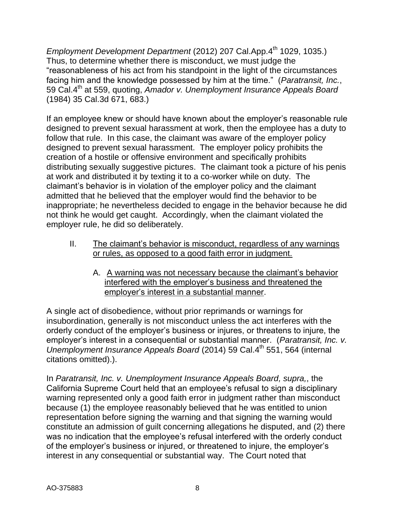*Employment Development Department* (2012) 207 Cal.App.4<sup>th</sup> 1029, 1035.) Thus, to determine whether there is misconduct, we must judge the "reasonableness of his act from his standpoint in the light of the circumstances facing him and the knowledge possessed by him at the time." (*Paratransit, Inc.*, 59 Cal.4th at 559, quoting, *Amador v. Unemployment Insurance Appeals Board* (1984) 35 Cal.3d 671, 683.)

If an employee knew or should have known about the employer's reasonable rule designed to prevent sexual harassment at work, then the employee has a duty to follow that rule. In this case, the claimant was aware of the employer policy designed to prevent sexual harassment. The employer policy prohibits the creation of a hostile or offensive environment and specifically prohibits distributing sexually suggestive pictures. The claimant took a picture of his penis at work and distributed it by texting it to a co-worker while on duty. The claimant's behavior is in violation of the employer policy and the claimant admitted that he believed that the employer would find the behavior to be inappropriate; he nevertheless decided to engage in the behavior because he did not think he would get caught. Accordingly, when the claimant violated the employer rule, he did so deliberately.

- II. The claimant's behavior is misconduct, regardless of any warnings or rules, as opposed to a good faith error in judgment.
	- A. A warning was not necessary because the claimant's behavior interfered with the employer's business and threatened the employer's interest in a substantial manner.

A single act of disobedience, without prior reprimands or warnings for insubordination, generally is not misconduct unless the act interferes with the orderly conduct of the employer's business or injures, or threatens to injure, the employer's interest in a consequential or substantial manner. (*Paratransit, Inc. v. Unemployment Insurance Appeals Board* (2014) 59 Cal.4<sup>th</sup> 551, 564 (internal citations omitted).).

In *Paratransit, Inc. v. Unemployment Insurance Appeals Board, supra,*, the California Supreme Court held that an employee's refusal to sign a disciplinary warning represented only a good faith error in judgment rather than misconduct because (1) the employee reasonably believed that he was entitled to union representation before signing the warning and that signing the warning would constitute an admission of guilt concerning allegations he disputed, and (2) there was no indication that the employee's refusal interfered with the orderly conduct of the employer's business or injured, or threatened to injure, the employer's interest in any consequential or substantial way. The Court noted that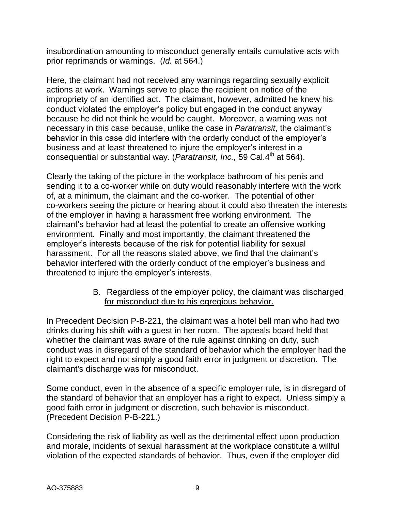insubordination amounting to misconduct generally entails cumulative acts with prior reprimands or warnings. (*Id.* at 564.)

Here, the claimant had not received any warnings regarding sexually explicit actions at work. Warnings serve to place the recipient on notice of the impropriety of an identified act. The claimant, however, admitted he knew his conduct violated the employer's policy but engaged in the conduct anyway because he did not think he would be caught. Moreover, a warning was not necessary in this case because, unlike the case in *Paratransit*, the claimant's behavior in this case did interfere with the orderly conduct of the employer's business and at least threatened to injure the employer's interest in a consequential or substantial way. (*Paratransit, Inc.*, 59 Cal.4<sup>th</sup> at 564).

Clearly the taking of the picture in the workplace bathroom of his penis and sending it to a co-worker while on duty would reasonably interfere with the work of, at a minimum, the claimant and the co-worker. The potential of other co-workers seeing the picture or hearing about it could also threaten the interests of the employer in having a harassment free working environment. The claimant's behavior had at least the potential to create an offensive working environment. Finally and most importantly, the claimant threatened the employer's interests because of the risk for potential liability for sexual harassment. For all the reasons stated above, we find that the claimant's behavior interfered with the orderly conduct of the employer's business and threatened to injure the employer's interests.

## B. Regardless of the employer policy, the claimant was discharged for misconduct due to his egregious behavior.

In Precedent Decision P-B-221, the claimant was a hotel bell man who had two drinks during his shift with a guest in her room. The appeals board held that whether the claimant was aware of the rule against drinking on duty, such conduct was in disregard of the standard of behavior which the employer had the right to expect and not simply a good faith error in judgment or discretion. The claimant's discharge was for misconduct.

Some conduct, even in the absence of a specific employer rule, is in disregard of the standard of behavior that an employer has a right to expect. Unless simply a good faith error in judgment or discretion, such behavior is misconduct. (Precedent Decision P-B-221.)

Considering the risk of liability as well as the detrimental effect upon production and morale, incidents of sexual harassment at the workplace constitute a willful violation of the expected standards of behavior. Thus, even if the employer did